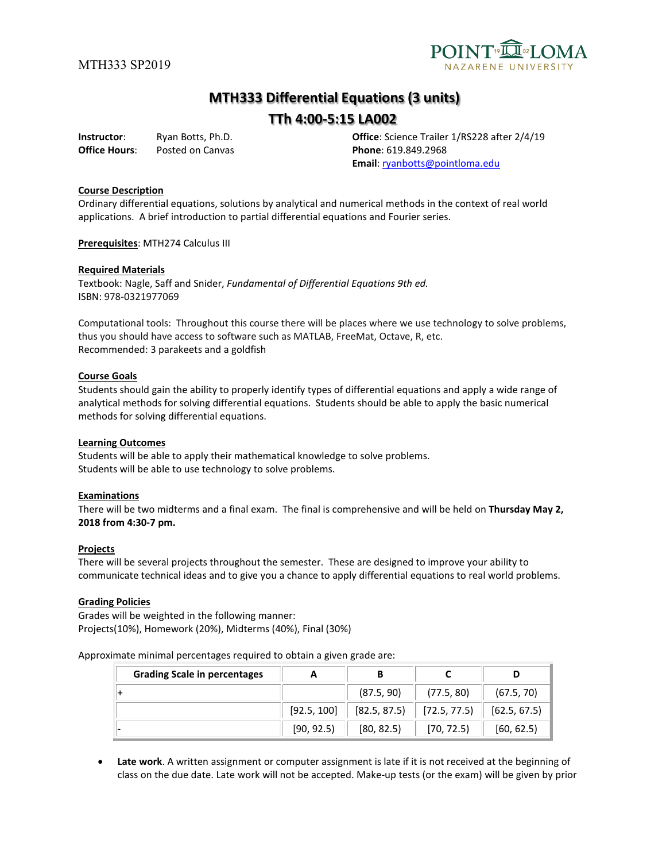

# **MTH333 Differential Equations (3 units)**

# **TTh 4:00-5:15 LA002**

**Office Hours:** Posted on Canvas **Phone**: 619.849.2968

**Instructor**: Ryan Botts, Ph.D. **Office**: Science Trailer 1/RS228 after 2/4/19 **Email**: [ryanbotts@pointloma.edu](mailto:ryanbotts@pointloma.edu)

#### **Course Description**

Ordinary differential equations, solutions by analytical and numerical methods in the context of real world applications. A brief introduction to partial differential equations and Fourier series.

**Prerequisites**: MTH274 Calculus III

#### **Required Materials**

Textbook: Nagle, Saff and Snider, *Fundamental of Differential Equations 9th ed.* ISBN: 978-0321977069

Computational tools: Throughout this course there will be places where we use technology to solve problems, thus you should have access to software such as MATLAB, FreeMat, Octave, R, etc. Recommended: 3 parakeets and a goldfish

#### **Course Goals**

Students should gain the ability to properly identify types of differential equations and apply a wide range of analytical methods for solving differential equations. Students should be able to apply the basic numerical methods for solving differential equations.

#### **Learning Outcomes**

Students will be able to apply their mathematical knowledge to solve problems. Students will be able to use technology to solve problems.

#### **Examinations**

There will be two midterms and a final exam. The final is comprehensive and will be held on **Thursday May 2, 2018 from 4:30-7 pm.**

#### **Projects**

There will be several projects throughout the semester. These are designed to improve your ability to communicate technical ideas and to give you a chance to apply differential equations to real world problems.

#### **Grading Policies**

Grades will be weighted in the following manner: Projects(10%), Homework (20%), Midterms (40%), Final (30%)

Approximate minimal percentages required to obtain a given grade are:

| <b>Grading Scale in percentages</b> |             |              |              |              |
|-------------------------------------|-------------|--------------|--------------|--------------|
|                                     |             | (87.5, 90)   | (77.5, 80)   | (67.5, 70)   |
|                                     | [92.5, 100] | [82.5, 87.5] | [72.5, 77.5] | [62.5, 67.5] |
|                                     | [90, 92.5]  | [80, 82.5]   | [70, 72.5]   | [60, 62.5]   |

• **Late work**. A written assignment or computer assignment is late if it is not received at the beginning of class on the due date. Late work will not be accepted. Make-up tests (or the exam) will be given by prior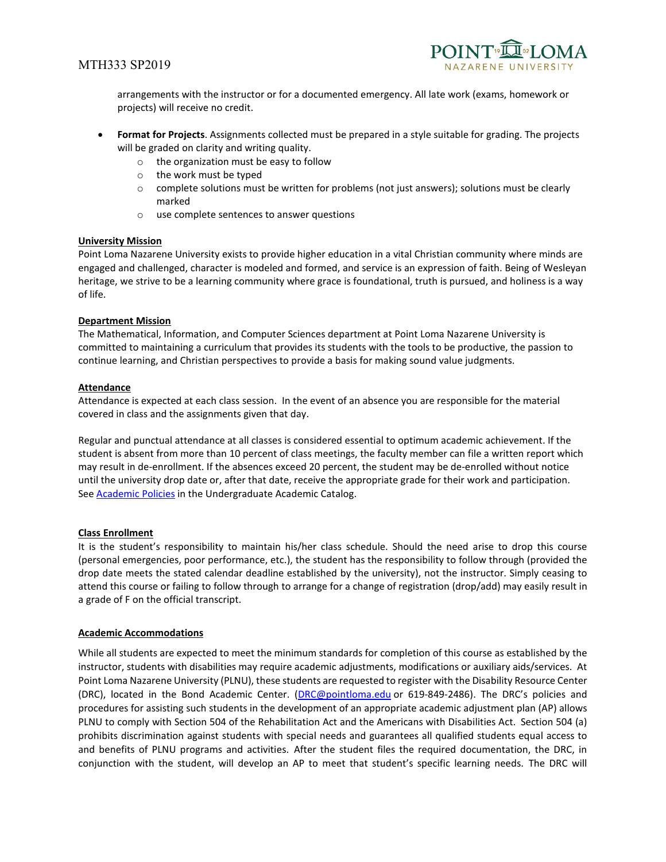## MTH333 SP2019



arrangements with the instructor or for a documented emergency. All late work (exams, homework or projects) will receive no credit.

- **Format for Projects**. Assignments collected must be prepared in a style suitable for grading. The projects will be graded on clarity and writing quality.
	- o the organization must be easy to follow
	- o the work must be typed
	- o complete solutions must be written for problems (not just answers); solutions must be clearly marked
	- o use complete sentences to answer questions

#### **University Mission**

Point Loma Nazarene University exists to provide higher education in a vital Christian community where minds are engaged and challenged, character is modeled and formed, and service is an expression of faith. Being of Wesleyan heritage, we strive to be a learning community where grace is foundational, truth is pursued, and holiness is a way of life.

#### **Department Mission**

The Mathematical, Information, and Computer Sciences department at Point Loma Nazarene University is committed to maintaining a curriculum that provides its students with the tools to be productive, the passion to continue learning, and Christian perspectives to provide a basis for making sound value judgments.

#### **Attendance**

Attendance is expected at each class session. In the event of an absence you are responsible for the material covered in class and the assignments given that day.

Regular and punctual attendance at all classes is considered essential to optimum academic achievement. If the student is absent from more than 10 percent of class meetings, the faculty member can file a written report which may result in de-enrollment. If the absences exceed 20 percent, the student may be de-enrolled without notice until the university drop date or, after that date, receive the appropriate grade for their work and participation. See **Academic Policies** in the Undergraduate Academic Catalog.

#### **Class Enrollment**

It is the student's responsibility to maintain his/her class schedule. Should the need arise to drop this course (personal emergencies, poor performance, etc.), the student has the responsibility to follow through (provided the drop date meets the stated calendar deadline established by the university), not the instructor. Simply ceasing to attend this course or failing to follow through to arrange for a change of registration (drop/add) may easily result in a grade of F on the official transcript.

#### **Academic Accommodations**

While all students are expected to meet the minimum standards for completion of this course as established by the instructor, students with disabilities may require academic adjustments, modifications or auxiliary aids/services. At Point Loma Nazarene University (PLNU), these students are requested to register with the Disability Resource Center (DRC), located in the Bond Academic Center. [\(DRC@pointloma.edu](mailto:DRC@pointloma.edu) or 619-849-2486). The DRC's policies and procedures for assisting such students in the development of an appropriate academic adjustment plan (AP) allows PLNU to comply with Section 504 of the Rehabilitation Act and the Americans with Disabilities Act. Section 504 (a) prohibits discrimination against students with special needs and guarantees all qualified students equal access to and benefits of PLNU programs and activities. After the student files the required documentation, the DRC, in conjunction with the student, will develop an AP to meet that student's specific learning needs. The DRC will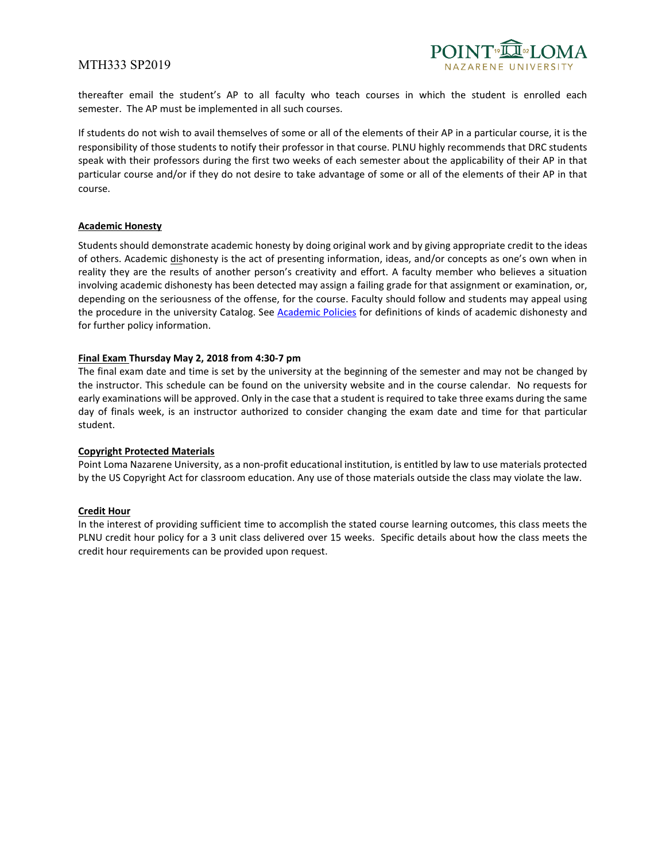## MTH333 SP2019



thereafter email the student's AP to all faculty who teach courses in which the student is enrolled each semester. The AP must be implemented in all such courses.

If students do not wish to avail themselves of some or all of the elements of their AP in a particular course, it is the responsibility of those students to notify their professor in that course. PLNU highly recommends that DRC students speak with their professors during the first two weeks of each semester about the applicability of their AP in that particular course and/or if they do not desire to take advantage of some or all of the elements of their AP in that course.

#### **Academic Honesty**

Students should demonstrate academic honesty by doing original work and by giving appropriate credit to the ideas of others. Academic dishonesty is the act of presenting information, ideas, and/or concepts as one's own when in reality they are the results of another person's creativity and effort. A faculty member who believes a situation involving academic dishonesty has been detected may assign a failing grade for that assignment or examination, or, depending on the seriousness of the offense, for the course. Faculty should follow and students may appeal using the procedure in the university Catalog. See [Academic Policies](http://catalog.pointloma.edu/content.php?catoid=18&navoid=1278) for definitions of kinds of academic dishonesty and for further policy information.

#### **Final Exam Thursday May 2, 2018 from 4:30-7 pm**

The final exam date and time is set by the university at the beginning of the semester and may not be changed by the instructor. This schedule can be found on the university website and in the course calendar. No requests for early examinations will be approved. Only in the case that a student is required to take three exams during the same day of finals week, is an instructor authorized to consider changing the exam date and time for that particular student.

#### **Copyright Protected Materials**

Point Loma Nazarene University, as a non-profit educational institution, is entitled by law to use materials protected by the US Copyright Act for classroom education. Any use of those materials outside the class may violate the law.

#### **Credit Hour**

In the interest of providing sufficient time to accomplish the stated course learning outcomes, this class meets the PLNU credit hour policy for a 3 unit class delivered over 15 weeks. Specific details about how the class meets the credit hour requirements can be provided upon request.